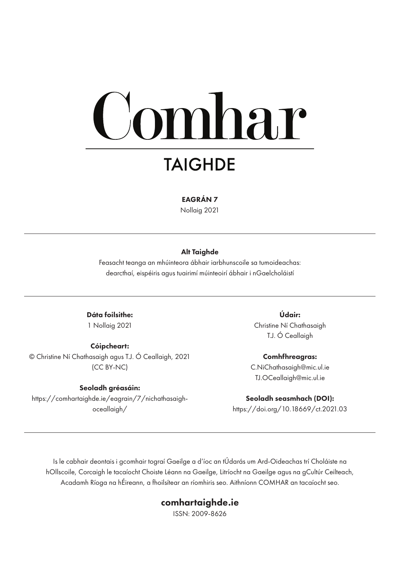# **Comhar**

## **TAIGHDE**

EAGRÁN 7

Nollaig 2021

#### Alt Taighde

Feasacht teanga an mhúinteora ábhair iarbhunscoile sa tumoideachas: dearcthaí, eispéiris agus tuairimí múinteoirí ábhair i nGaelcholáistí

Dáta foilsithe: 1 Nollaig 2021

Cóipcheart: © Christine Ní Chathasaigh agus T.J. Ó Ceallaigh, 2021 (CC BY-NC)

#### Seoladh gréasáin:

https://comhartaighde.ie/eagrain/7/nichathasaighoceallaigh/

Údair: Christine Ní Chathasaigh T.J. Ó Ceallaigh

Comhfhreagras: C.NiChathasaigh@mic.ul.ie TJ.OCeallaigh@mic.ul.ie

Seoladh seasmhach (DOI): https://doi.org/10.18669/ct.2021.03

Is le cabhair deontais i gcomhair tograí Gaeilge a d'íoc an tÚdarás um Ard-Oideachas trí Choláiste na hOllscoile, Corcaigh le tacaíocht Choiste Léann na Gaeilge, Litríocht na Gaeilge agus na gCultúr Ceilteach, Acadamh Ríoga na hÉireann, a fhoilsítear an ríomhiris seo. Aithníonn COMHAR an tacaíocht seo.

#### comhartaighde.ie

ISSN: 2009-8626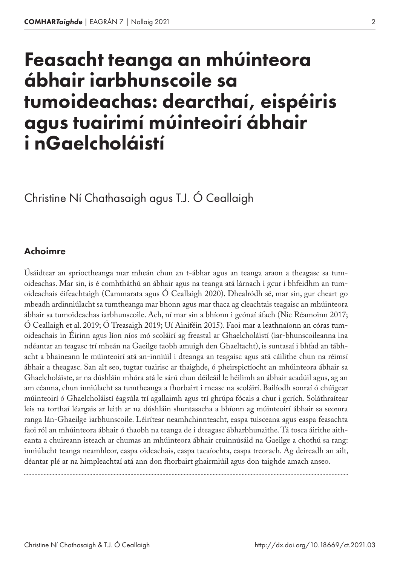## Feasacht teanga an mhúinteora ábhair iarbhunscoile sa tumoideachas: dearcthaí, eispéiris agus tuairimí múinteoirí ábhair i nGaelcholáistí

Christine Ní Chathasaigh agus T.J. Ó Ceallaigh

#### Achoimre

Úsáidtear an sprioctheanga mar mheán chun an t‑ábhar agus an teanga araon a theagasc sa tum‑ oideachas. Mar sin, is é comhtháthú an ábhair agus na teanga atá lárnach i gcur i bhfeidhm an tumoideachais éifeachtaigh (Cammarata agus Ó Ceallaigh 2020). Dhealródh sé, mar sin, gur cheart go mbeadh ardinniúlacht sa tumtheanga mar bhonn agus mar thaca ag cleachtais teagaisc an mhúinteora ábhair sa tumoideachas iarbhunscoile. Ach, ní mar sin a bhíonn i gcónaí áfach (Nic Réamoinn 2017; Ó Ceallaigh et al. 2019; Ó Treasaigh 2019; Uí Ainiféin 2015). Faoi mar a leathnaíonn an córas tum‑ oideachais in Éirinn agus líon níos mó scoláirí ag freastal ar Ghaelcholáistí (iar-bhunscoileanna ina ndéantar an teagasc trí mheán na Gaeilge taobh amuigh den Ghaeltacht), is suntasaí i bhfad an tábhacht a bhaineann le múinteoirí atá an-inniúil i dteanga an teagaisc agus atá cáilithe chun na réimsí ábhair a theagasc. San alt seo, tugtar tuairisc ar thaighde, ó pheirspictíocht an mhúinteora ábhair sa Ghaelcholáiste, ar na dúshláin mhóra atá le sárú chun déileáil le héilimh an ábhair acadúil agus, ag an am céanna, chun inniúlacht sa tumtheanga a fhorbairt i measc na scoláirí. Bailíodh sonraí ó chúigear múinteoirí ó Ghaelcholáistí éagsúla trí agallaimh agus trí ghrúpa fócais a chur i gcrích. Soláthraítear leis na torthaí léargais ar leith ar na dúshláin shuntasacha a bhíonn ag múinteoirí ábhair sa seomra ranga lán-Ghaeilge iarbhunscoile. Léirítear neamhchinnteacht, easpa tuisceana agus easpa feasachta faoi ról an mhúinteora ábhair ó thaobh na teanga de i dteagasc ábharbhunaithe. Tá tosca áirithe aitheanta a chuireann isteach ar chumas an mhúinteora ábhair cruinnúsáid na Gaeilge a chothú sa rang: inniúlacht teanga neamhleor, easpa oideachais, easpa tacaíochta, easpa treorach. Ag deireadh an ailt, déantar plé ar na himpleachtaí atá ann don fhorbairt ghairmiúil agus don taighde amach anseo.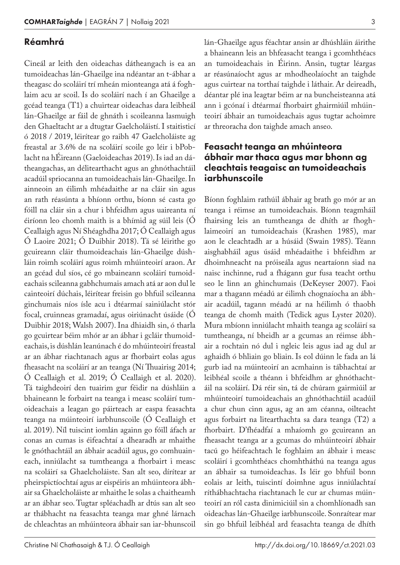#### Réamhrá

Cineál ar leith den oideachas dátheangach is ea an tumoideachas lán-Ghaeilge ina ndéantar an t‑ábhar a theagasc do scoláirí trí mheán mionteanga atá á foghlaim acu ar scoil. Is do scoláirí nach í an Ghaeilge a gcéad teanga (T1) a chuirtear oideachas dara leibheál lán-Ghaeilge ar fáil de ghnáth i scoileanna lasmuigh den Ghaeltacht ar a dtugtar Gaelcholáistí. I staitisticí ó 2018 / 2019, léirítear go raibh 47 Gaelcholáiste ag freastal ar 3.6% de na scoláirí scoile go léir i bPob‑ lacht na hÉireann (Gaeloideachas 2019). Is iad an dátheangachas, an délitearthacht agus an ghnóthachtáil acadúil spriocanna an tumoideachais lán-Ghaeilge. In ainneoin an éilimh mhéadaithe ar na cláir sin agus an rath réasúnta a bhíonn orthu, bíonn sé casta go fóill na cláir sin a chur i bhfeidhm agus uaireanta ní éiríonn leo chomh maith is a bhímid ag súil leis (Ó Ceallaigh agus Ní Shéaghdha 2017; Ó Ceallaigh agus Ó Laoire 2021; Ó Duibhir 2018). Tá sé léirithe go gcuireann cláir thumoideachais lán-Ghaeilge dúshláin roimh scoláirí agus roimh mhúinteoirí araon. Ar an gcéad dul síos, cé go mbaineann scoláirí tumoideachais scileanna gabhchumais amach atá ar aon dul le cainteoirí dúchais, léirítear freisin go bhfuil scileanna ginchumais níos ísle acu i dtéarmaí sainiúlacht stór focal, cruinneas gramadaí, agus oiriúnacht úsáide (Ó Duibhir 2018; Walsh 2007). Ina dhiaidh sin, ó tharla go gcuirtear béim mhór ar an ábhar i gcláir thumoideachais, is dúshlán leanúnach é do mhúinteoirí freastal ar an ábhar riachtanach agus ar fhorbairt eolas agus fheasacht na scoláirí ar an teanga (Ní Thuairisg 2014; Ó Ceallaigh et al. 2019; Ó Ceallaigh et al. 2020). Tá taighdeoirí den tuairim gur féidir na dúshláin a bhaineann le forbairt na teanga i measc scoláirí tumoideachais a leagan go páirteach ar easpa feasachta teanga na múinteoirí iarbhunscoile (Ó Ceallaigh et al. 2019). Níl tuiscint iomlán againn go fóill áfach ar conas an cumas is éifeachtaí a dhearadh ar mhaithe le gnóthachtáil an ábhair acadúil agus, go comhuaineach, inniúlacht sa tumtheanga a fhorbairt i measc na scoláirí sa Ghaelcholáiste. San alt seo, dírítear ar pheirspictíochtaí agus ar eispéiris an mhúinteora ábhair sa Ghaelcholáiste ar mhaithe le solas a chaitheamh ar an ábhar seo. Tugtar spléachadh ar dtús san alt seo ar thábhacht na feasachta teanga mar ghné lárnach de chleachtas an mhúinteora ábhair san iar-bhunscoil

lán-Ghaeilge agus féachtar ansin ar dhúshláin áirithe a bhaineann leis an bhfeasacht teanga i gcomhthéacs an tumoideachais in Éirinn. Ansin, tugtar léargas ar réasúnaíocht agus ar mhodheolaíocht an taighde agus cuirtear na torthaí taighde i láthair. Ar deireadh, déantar plé ina leagtar béim ar na buncheisteanna atá ann i gcónaí i dtéarmaí fhorbairt ghairmiúil mhúinteoirí ábhair an tumoideachais agus tugtar achoimre ar threoracha don taighde amach anseo.

#### Feasacht teanga an mhúinteora ábhair mar thaca agus mar bhonn ag cleachtais teagaisc an tumoideachais iarbhunscoile

Bíonn foghlaim rathúil ábhair ag brath go mór ar an teanga i réimse an tumoideachais. Bíonn teagmháil fhairsing leis an tumtheanga de dhíth ar fhoghlaimeoirí an tumoideachais (Krashen 1985), mar aon le cleachtadh ar a húsáid (Swain 1985). Téann aisghabháil agus úsáid mhéadaithe i bhfeidhm ar dhoimhneacht na próiseála agus neartaíonn siad na naisc inchinne, rud a fhágann gur fusa teacht orthu seo le linn an ghinchumais (DeKeyser 2007). Faoi mar a thagann méadú ar éilimh chognaíocha an ábhair acadúil, tagann méadú ar na héilimh ó thaobh teanga de chomh maith (Tedick agus Lyster 2020). Mura mbíonn inniúlacht mhaith teanga ag scoláirí sa tumtheanga, ní bheidh ar a gcumas an réimse ábhair a rochtain nó dul i ngleic leis agus iad ag dul ar aghaidh ó bhliain go bliain. Is eol dúinn le fada an lá gurb iad na múinteoirí an acmhainn is tábhachtaí ar leibhéal scoile a théann i bhfeidhm ar ghnóthachtáil na scoláirí. Dá réir sin, tá de chúram gairmiúil ar mhúinteoirí tumoideachais an ghnóthachtáil acadúil a chur chun cinn agus, ag an am céanna, oilteacht agus forbairt na litearthachta sa dara teanga (T2) a fhorbairt. D'fhéadfaí a mhaíomh go gcuireann an fheasacht teanga ar a gcumas do mhúinteoirí ábhair tacú go héifeachtach le foghlaim an ábhair i measc scoláirí i gcomhthéacs chomhtháthú na teanga agus an ábhair sa tumoideachas. Is léir go bhfuil bonn eolais ar leith, tuiscintí doimhne agus inniúlachtaí ríthábhachtacha riachtanach le cur ar chumas múinteoirí an ról casta dinimiciúil sin a chomhlíonadh san oideachas lán-Ghaeilge iarbhunscoile. Sonraítear mar sin go bhfuil leibhéal ard feasachta teanga de dhíth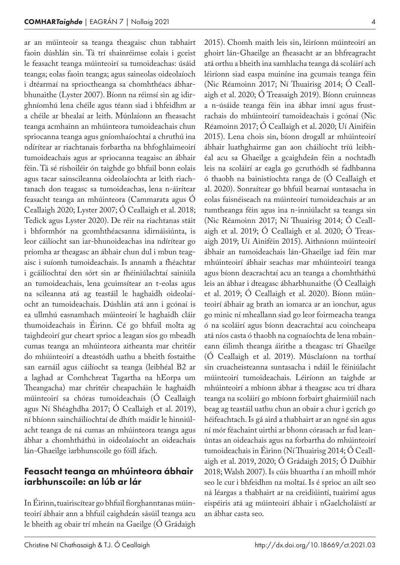ar an múinteoir sa teanga theagaisc chun tabhairt faoin dúshlán sin. Tá trí shainréimse eolais i gceist le feasacht teanga múinteoirí sa tumoideachas: úsáid teanga; eolas faoin teanga; agus saineolas oideolaíoch i dtéarmaí na sprioctheanga sa chomhthéacs ábharbhunaithe (Lyster 2007). Bíonn na réimsí sin ag idirghníomhú lena chéile agus téann siad i bhfeidhm ar a chéile ar bhealaí ar leith. Múnlaíonn an fheasacht teanga acmhainn an mhúinteora tumoideachais chun spriocanna teanga agus gníomhaíochtaí a chruthú ina ndírítear ar riachtanais forbartha na bhfoghlaimeoirí tumoideachais agus ar spriocanna teagaisc an ábhair féin. Tá sé ríshoiléir ón taighde go bhfuil bonn eolais agus tacar sainscileanna oideolaíochta ar leith riachtanach don teagasc sa tumoideachas, lena n‑áirítear feasacht teanga an mhúinteora (Cammarata agus Ó Ceallaigh 2020; Lyster 2007; Ó Ceallaigh et al. 2018; Tedick agus Lyster 2020). De réir na riachtanas stáit i bhformhór na gcomhthéacsanna idirnáisiúnta, is leor cáilíocht san iar-bhunoideachas ina ndírítear go príomha ar theagasc an ábhair chun dul i mbun teagaisc i suíomh tumoideachais. Is annamh a fhéachtar i gcáilíochtaí den sórt sin ar fhéiniúlachtaí sainiúla an tumoideachais, lena gcuimsítear an t-eolas agus na scileanna atá ag teastáil le haghaidh oideolaíocht an tumoideachais. Dúshlán atá ann i gcónaí is ea ullmhú easnamhach múinteoirí le haghaidh cláir thumoideachais in Éirinn. Cé go bhfuil molta ag taighdeoirí gur cheart sprioc a leagan síos go mbeadh cumas teanga an mhúinteora aitheanta mar chritéir do mhúinteoirí a dteastódh uathu a bheith fostaithe san earnáil agus cáilíocht sa teanga (leibhéal B2 ar a laghad ar Comhchreat Tagartha na hEorpa um Theangacha) mar chritéir cheapacháin le haghaidh múinteoirí sa chóras tumoideachais (Ó Ceallaigh agus Ní Shéaghdha 2017; Ó Ceallaigh et al. 2019), ní bhíonn saincháilíochtaí de dhíth maidir le hinniúlacht teanga de ná cumas an mhúinteora teanga agus ábhar a chomhtháthú in oideolaíocht an oideachais lán-Ghaeilge iarbhunscoile go fóill áfach.

#### Feasacht teanga an mhúinteora ábhair iarbhunscoile: an lúb ar lár

In Éirinn, tuairiscítear go bhfuil fíorghanntanas múin‑ teoirí ábhair ann a bhfuil caighdeán sásúil teanga acu le bheith ag obair trí mheán na Gaeilge (Ó Grádaigh 2015). Chomh maith leis sin, léiríonn múinteoirí an ghoirt lán-Ghaeilge an fheasacht ar an bhfreagracht atá orthu a bheith ina samhlacha teanga dá scoláirí ach léiríonn siad easpa muiníne ina gcumais teanga féin (Nic Réamoinn 2017; Ní Thuairisg 2014; Ó Ceall‑ aigh et al. 2020; Ó Treasaigh 2019). Bíonn cruinneas a n-úsáide teanga féin ina ábhar imní agus frustrachais do mhúinteoirí tumoideachais i gcónaí (Nic Réamoinn 2017; Ó Ceallaigh et al. 2020; Uí Ainiféin 2015). Lena chois sin, bíonn drogall ar mhúinteoirí ábhair luathghairme gan aon cháilíocht tríú leibhéal acu sa Ghaeilge a gcaighdeán féin a nochtadh leis na scoláirí ar eagla go gcruthódh sé fadhbanna ó thaobh na bainistíochta ranga de (Ó Ceallaigh et al. 2020). Sonraítear go bhfuil bearnaí suntasacha in eolas faisnéiseach na múinteoirí tumoideachais ar an tumtheanga féin agus ina n‑inniúlacht sa teanga sin (Nic Réamoinn 2017; Ní Thuairisg 2014; Ó Ceall‑ aigh et al. 2019; Ó Ceallaigh et al. 2020; Ó Treas‑ aigh 2019; Uí Ainiféin 2015). Aithníonn múinteoirí ábhair an tumoideachais lán-Ghaeilge iad féin mar mhúinteoirí ábhair seachas mar mhúinteoirí teanga agus bíonn deacrachtaí acu an teanga a chomhtháthú leis an ábhar i dteagasc ábharbhunaithe (Ó Ceallaigh et al. 2019; Ó Ceallaigh et al. 2020). Bíonn múin‑ teoirí ábhair ag brath an iomarca ar an ionchur, agus go minic ní mheallann siad go leor foirmeacha teanga ó na scoláirí agus bíonn deacrachtaí acu coincheapa atá níos casta ó thaobh na cognaíochta de lena mbain‑ eann éilimh theanga áirithe a theagasc trí Ghaeilge (Ó Ceallaigh et al. 2019). Músclaíonn na torthaí sin cruacheisteanna suntasacha i ndáil le féiniúlacht múinteoirí tumoideachais. Léiríonn an taighde ar mhúinteoirí a mbíonn ábhar á theagasc acu trí dhara teanga na scoláirí go mbíonn forbairt ghairmiúil nach beag ag teastáil uathu chun an obair a chur i gcrích go héifeachtach. Is gá aird a thabhairt ar an ngné sin agus ní mór féachaint uirthi ar bhonn córasach ar fud leanúntas an oideachais agus na forbartha do mhúinteoirí tumoideachais in Éirinn (Ní Thuairisg 2014; Ó Ceall‑ aigh et al. 2019, 2020; Ó Grádaigh 2015; Ó Duibhir 2018; Walsh 2007). Is cúis bhuartha í an mhoill mhór seo le cur i bhfeidhm na moltaí. Is é sprioc an ailt seo ná léargas a thabhairt ar na creidiúintí, tuairimí agus eispéiris atá ag múinteoirí ábhair i nGaelcholáistí ar an ábhar casta seo.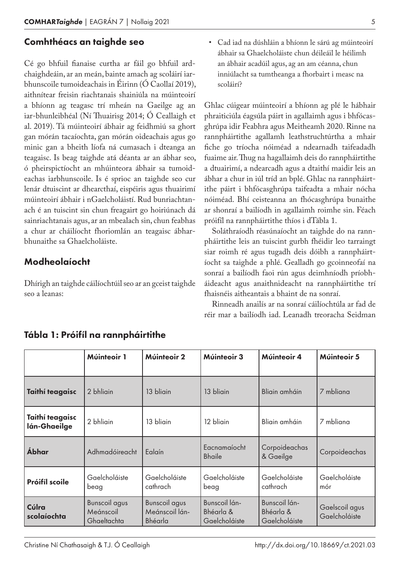#### Comhthéacs an taighde seo

Cé go bhfuil fianaise curtha ar fáil go bhfuil ard‑ chaighdeáin, ar an meán, bainte amach ag scoláirí iarbhunscoile tumoideachais in Éirinn (Ó Caollaí 2019), aithnítear freisin riachtanais shainiúla na múinteoirí a bhíonn ag teagasc trí mheán na Gaeilge ag an iar-bhunleibhéal (Ní Thuairisg 2014; Ó Ceallaigh et al. 2019). Tá múinteoirí ábhair ag feidhmiú sa ghort gan mórán tacaíochta, gan mórán oideachais agus go minic gan a bheith líofa ná cumasach i dteanga an teagaisc. Is beag taighde atá déanta ar an ábhar seo, ó pheirspictíocht an mhúinteora ábhair sa tumoideachas iarbhunscoile. Is é sprioc an taighde seo cur lenár dtuiscint ar dhearcthaí, eispéiris agus thuairimí múinteoirí ábhair i nGaelcholáistí. Rud bunriachtanach é an tuiscint sin chun freagairt go hoiriúnach dá sainriachtanais agus, ar an mbealach sin, chun feabhas a chur ar cháilíocht fhoriomlán an teagaisc ábharbhunaithe sa Ghaelcholáiste.

#### Modheolaíocht

Dhírigh an taighde cáilíochtúil seo ar an gceist taighde seo a leanas:

• Cad iad na dúshláin a bhíonn le sárú ag múinteoirí ábhair sa Ghaelcholáiste chun déileáil le héilimh an ábhair acadúil agus, ag an am céanna, chun inniúlacht sa tumtheanga a fhorbairt i measc na scoláirí?

Ghlac cúigear múinteoirí a bhíonn ag plé le hábhair phraiticiúla éagsúla páirt in agallaimh agus i bhfócasghrúpa idir Feabhra agus Meitheamh 2020. Rinne na rannpháirtithe agallamh leathstruchtúrtha a mhair fiche go tríocha nóiméad a ndearnadh taifeadadh fuaime air. Thug na hagallaimh deis do rannpháirtithe a dtuairimí, a ndearcadh agus a dtaithí maidir leis an ábhar a chur in iúl tríd an bplé. Ghlac na rannpháirtithe páirt i bhfócasghrúpa taifeadta a mhair nócha nóiméad. Bhí ceisteanna an fhócasghrúpa bunaithe ar shonraí a bailíodh in agallaimh roimhe sin. Féach próifíl na rannpháirtithe thíos i dTábla 1.

Soláthraíodh réasúnaíocht an taighde do na rannpháirtithe leis an tuiscint gurbh fhéidir leo tarraingt siar roimh ré agus tugadh deis dóibh a rannpháirtíocht sa taighde a phlé. Gealladh go gcoinneofaí na sonraí a bailíodh faoi rún agus deimhníodh príobháideacht agus anaithnideacht na rannpháirtithe trí fhaisnéis aitheantais a bhaint de na sonraí.

Rinneadh anailís ar na sonraí cáilíochtúla ar fad de réir mar a bailíodh iad. Leanadh treoracha Seidman

|                                 | Múinteoir 1                                      | Múinteoir 2                                       | Múinteoir 3                                 | Múinteoir 4                                 | Múinteoir 5                     |
|---------------------------------|--------------------------------------------------|---------------------------------------------------|---------------------------------------------|---------------------------------------------|---------------------------------|
| Taithí teagaisc                 | 2 bhliain                                        | 13 bliain                                         | 13 bliain                                   | Bliain amháin                               | 7 mbliana                       |
| Taithí teagaisc<br>lán-Ghaeilge | 2 bhliain                                        | 13 bliain                                         | 12 bliain                                   | Bliain amháin                               | 7 mbliana                       |
| <b>Ábhar</b>                    | Adhmadóireacht                                   | Ealaín                                            | Eacnamaíocht<br><b>Bhaile</b>               | Corpoideachas<br>& Gaeilge                  | Corpoideachas                   |
| Próifíl scoile                  | Gaelcholáiste<br>beag                            | Gaelcholáiste<br>cathrach                         | Gaelcholáiste<br>beag                       | Gaelcholáiste<br>cathrach                   | Gaelcholáiste<br>mór            |
| Cúlra<br>scolaíochta            | <b>Bunscoil agus</b><br>Meánscoil<br>Ghaeltachta | <b>Bunscoil agus</b><br>Meánscoil lán-<br>Bhéarla | Bunscoil lán-<br>Bhéarla &<br>Gaelcholáiste | Bunscoil lán-<br>Bhéarla &<br>Gaelcholáiste | Gaelscoil agus<br>Gaelcholáiste |

#### Tábla 1: Próifíl na rannpháirtithe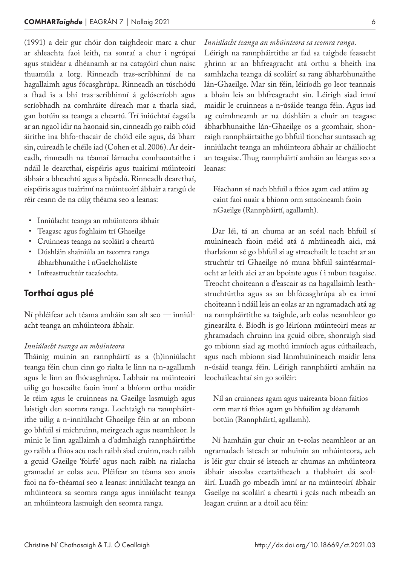(1991) a deir gur chóir don taighdeoir marc a chur ar shleachta faoi leith, na sonraí a chur i ngrúpaí agus staidéar a dhéanamh ar na catagóirí chun naisc thuamúla a lorg. Rinneadh tras-scríbhinní de na hagallaimh agus fócasghrúpa. Rinneadh an túschódú a fhad is a bhí tras-scríbhinní á gclóscríobh agus scríobhadh na comhráite díreach mar a tharla siad, gan botúin sa teanga a cheartú. Trí iniúchtaí éagsúla ar an ngaol idir na haonaid sin, cinneadh go raibh cóid áirithe ina bhfo-thacair de chóid eile agus, dá bharr sin, cuireadh le chéile iad (Cohen et al. 2006). Ar deireadh, rinneadh na téamaí lárnacha comhaontaithe i ndáil le dearcthaí, eispéiris agus tuairimí múinteoirí ábhair a bheachtú agus a lipéadú. Rinneadh dearcthaí, eispéiris agus tuairimí na múinteoirí ábhair a rangú de réir ceann de na cúig théama seo a leanas:

- Inniúlacht teanga an mhúinteora ábhair
- Teagasc agus foghlaim trí Ghaeilge
- Cruinneas teanga na scoláirí a cheartú
- Dúshláin shainiúla an tseomra ranga ábharbhunaithe i nGaelcholáiste
- Infreastruchtúr tacaíochta.

#### Torthaí agus plé

Ní phléifear ach téama amháin san alt seo — inniúlacht teanga an mhúinteora ábhair.

#### *Inniúlacht teanga an mhúinteora*

Tháinig muinín an rannpháirtí as a (h)inniúlacht teanga féin chun cinn go rialta le linn na n‑agallamh agus le linn an fhócasghrúpa. Labhair na múinteoirí uilig go hoscailte faoin imní a bhíonn orthu maidir le réim agus le cruinneas na Gaeilge lasmuigh agus laistigh den seomra ranga. Lochtaigh na rannpháirtithe uilig a n‑inniúlacht Ghaeilge féin ar an mbonn go bhfuil sí míchruinn, meirgeach agus neamhleor. Is minic le linn agallaimh a d'admhaigh rannpháirtithe go raibh a fhios acu nach raibh siad cruinn, nach raibh a gcuid Gaeilge 'foirfe' agus nach raibh na rialacha gramadaí ar eolas acu. Pléifear an téama seo anois faoi na fo-théamaí seo a leanas: inniúlacht teanga an mhúinteora sa seomra ranga agus inniúlacht teanga an mhúinteora lasmuigh den seomra ranga.

Léirigh na rannpháirtithe ar fad sa taighde feasacht ghrinn ar an bhfreagracht atá orthu a bheith ina samhlacha teanga dá scoláirí sa rang ábharbhunaithe lán-Ghaeilge. Mar sin féin, léiríodh go leor teannais a bhain leis an bhfreagracht sin. Léirigh siad imní maidir le cruinneas a n‑úsáide teanga féin. Agus iad ag cuimhneamh ar na dúshláin a chuir an teagasc ábharbhunaithe lán-Ghaeilge os a gcomhair, shonraigh rannpháirtaithe go bhfuil tionchar suntasach ag inniúlacht teanga an mhúinteora ábhair ar cháilíocht an teagaisc. Thug rannpháirtí amháin an léargas seo a leanas:

Féachann sé nach bhfuil a fhios agam cad atáim ag caint faoi nuair a bhíonn orm smaoineamh faoin nGaeilge (Rannpháirtí, agallamh).

Dar léi, tá an chuma ar an scéal nach bhfuil sí muiníneach faoin méid atá á mhúineadh aici, má tharlaíonn sé go bhfuil sí ag streachailt le teacht ar an struchtúr trí Ghaeilge nó muna bhfuil saintéarmaíocht ar leith aici ar an bpointe agus í i mbun teagaisc. Treocht choiteann a d'eascair as na hagallaimh leath‑ struchtúrtha agus as an bhfócasghrúpa ab ea imní choiteann i ndáil leis an eolas ar an ngramadach atá ag na rannpháirtithe sa taighde, arb eolas neamhleor go ginearálta é. Bíodh is go léiríonn múinteoirí meas ar ghramadach chruinn ina gcuid oibre, shonraigh siad go mbíonn siad ag mothú imníoch agus cúthaileach, agus nach mbíonn siad lánmhuiníneach maidir lena n‑úsáid teanga féin. Léirigh rannpháirtí amháin na leochaileachtaí sin go soiléir:

Níl an cruinneas agam agus uaireanta bíonn faitíos orm mar tá fhios agam go bhfuilim ag déanamh botúin (Rannpháirtí, agallamh).

Ní hamháin gur chuir an t-eolas neamhleor ar an ngramadach isteach ar mhuinín an mhúinteora, ach is léir gur chuir sé isteach ar chumas an mhúinteora ábhair aiseolas ceartaitheach a thabhairt dá scoláirí. Luadh go mbeadh imní ar na múinteoirí ábhair Gaeilge na scoláirí a cheartú i gcás nach mbeadh an leagan cruinn ar a dtoil acu féin: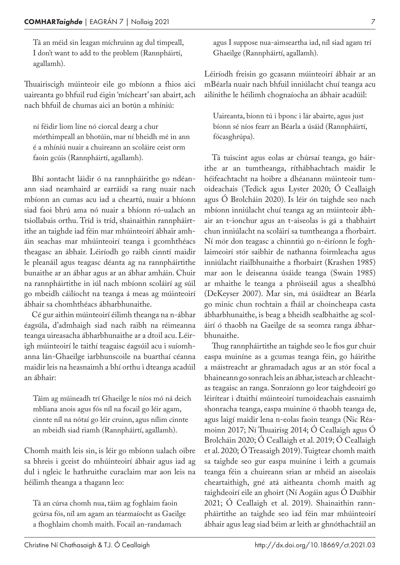Tá an méid sin leagan míchruinn ag dul timpeall, I don't want to add to the problem (Rannpháirtí, agallamh).

Thuairiscigh múinteoir eile go mbíonn a fhios aici uaireanta go bhfuil rud éigin 'mícheart' san abairt, ach nach bhfuil de chumas aici an botún a mhíniú:

ní féidir liom líne nó ciorcal dearg a chur mórthimpeall an bhotúin, mar ní bheidh mé in ann é a mhíniú nuair a chuireann an scoláire ceist orm faoin gcúis (Rannpháirtí, agallamh).

Bhí aontacht láidir ó na rannpháirithe go ndéanann siad neamhaird ar earráidí sa rang nuair nach mbíonn an cumas acu iad a cheartú, nuair a bhíonn siad faoi bhrú ama nó nuair a bhíonn ró-ualach an tsiollabais orthu. Tríd is tríd, shainaithin rannpháirtithe an taighde iad féin mar mhúinteoirí ábhair amháin seachas mar mhúinteoirí teanga i gcomhthéacs theagasc an ábhair. Léiríodh go raibh cinntí maidir le pleanáil agus teagasc déanta ag na rannpháirtithe bunaithe ar an ábhar agus ar an ábhar amháin. Chuir na rannpháirtithe in iúl nach mbíonn scoláirí ag súil go mbeidh cáilíocht na teanga á meas ag múinteoirí ábhair sa chomhthéacs ábharbhunaithe.

Cé gur aithin múinteoirí éilimh theanga na n‑ábhar éagsúla, d'admhaigh siad nach raibh na réimeanna teanga uireasacha ábharbhunaithe ar a dtoil acu. Léirigh múinteoirí le taithí teagaisc éagsúil acu i suíomhanna lán-Ghaeilge iarbhunscoile na buarthaí céanna maidir leis na heasnaimh a bhí orthu i dteanga acadúil an ábhair:

Táim ag múineadh trí Ghaeilge le níos mó ná deich mbliana anois agus fós níl na focail go léir agam, cinnte níl na nótaí go léir cruinn, agus nílim cinnte an mbeidh siad riamh (Rannpháirtí, agallamh).

Chomh maith leis sin, is léir go mbíonn ualach oibre sa bhreis i gceist do mhúinteoirí ábhair agus iad ag dul i ngleic le hathruithe curaclaim mar aon leis na héilimh theanga a thagann leo:

Tá an cúrsa chomh nua, táim ag foghlaim faoin gcúrsa fós, níl am agam an téarmaíocht as Gaeilge a fhoghlaim chomh maith. Focail an-randamach

agus I suppose nua-aimseartha iad, níl siad agam trí Ghaeilge (Rannpháirtí, agallamh).

Léiríodh freisin go gcasann múinteoirí ábhair ar an mBéarla nuair nach bhfuil inniúlacht chuí teanga acu ailínithe le héilimh chognaíocha an ábhair acadúil:

Uaireanta, bíonn tú i bponc i lár abairte, agus just bíonn sé níos fearr an Béarla a úsáid (Rannpháirtí, fócasghrúpa).

Tá tuiscint agus eolas ar chúrsaí teanga, go háir‑ ithe ar an tumtheanga, ríthábhachtach maidir le héifeachtacht na hoibre a dhéanann múinteoir tumoideachais (Tedick agus Lyster 2020; Ó Ceallaigh agus Ó Brolcháin 2020). Is léir ón taighde seo nach mbíonn inniúlacht chuí teanga ag an múinteoir ábhair an t‑ionchur agus an t‑aiseolas is gá a thabhairt chun inniúlacht na scoláirí sa tumtheanga a fhorbairt. Ní mór don teagasc a chinntiú go n-éiríonn le foghlaimeoirí stór saibhir de nathanna foirmleacha agus inniúlacht riailbhunaithe a fhorbairt (Krashen 1985) mar aon le deiseanna úsáide teanga (Swain 1985) ar mhaithe le teanga a phróiseáil agus a shealbhú (DeKeyser 2007). Mar sin, má úsáidtear an Béarla go minic chun rochtain a fháil ar choincheapa casta ábharbhunaithe, is beag a bheidh sealbhaithe ag scoláirí ó thaobh na Gaeilge de sa seomra ranga ábharbhunaithe.

Thug rannpháirtithe an taighde seo le fios gur chuir easpa muiníne as a gcumas teanga féin, go háirithe a máistreacht ar ghramadach agus ar an stór focal a bhaineann go sonrach leis an ábhar, isteach ar chleachtas teagaisc an ranga. Sonraíonn go leor taighdeoirí go léirítear i dtaithí múinteoirí tumoideachais easnaimh shonracha teanga, easpa muiníne ó thaobh teanga de, agus laigí maidir lena n-eolas faoin teanga (Nic Réamoinn 2017; Ní Thuairisg 2014; Ó Ceallaigh agus Ó Brolcháin 2020; Ó Ceallaigh et al. 2019; Ó Ceallaigh et al. 2020; Ó Treasaigh 2019). Tuigtear chomh maith sa taighde seo gur easpa muiníne i leith a gcumais teanga féin a chuireann srian ar mhéid an aiseolais cheartaithigh, gné atá aitheanta chomh maith ag taighdeoirí eile an ghoirt (Ní Aogáin agus Ó Duibhir 2021; Ó Ceallaigh et al. 2019). Shainaithin rann‑ pháirtithe an taighde seo iad féin mar mhúinteoirí ábhair agus leag siad béim ar leith ar ghnóthachtáil an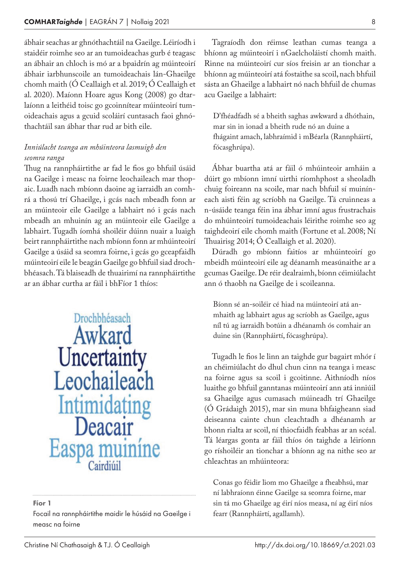ábhair seachas ar ghnóthachtáil na Gaeilge. Léiríodh i staidéir roimhe seo ar an tumoideachas gurb é teagasc an ábhair an chloch is mó ar a bpaidrín ag múinteoirí ábhair iarbhunscoile an tumoideachais lán-Ghaeilge chomh maith (Ó Ceallaigh et al. 2019; Ó Ceallaigh et al. 2020). Maíonn Hoare agus Kong (2008) go dtar‑ laíonn a leithéid toisc go gcoinnítear múinteoirí tumoideachais agus a gcuid scoláirí cuntasach faoi ghnóthachtáil san ábhar thar rud ar bith eile.

#### *Inniúlacht teanga an mhúinteora lasmuigh den seomra ranga*

Thug na rannpháirtithe ar fad le fios go bhfuil úsáid na Gaeilge i measc na foirne leochaileach mar thopaic. Luadh nach mbíonn daoine ag iarraidh an comhrá a thosú trí Ghaeilge, i gcás nach mbeadh fonn ar an múinteoir eile Gaeilge a labhairt nó i gcás nach mbeadh an mhuinín ag an múinteoir eile Gaeilge a labhairt. Tugadh íomhá shoiléir dúinn nuair a luaigh beirt rannpháirtithe nach mbíonn fonn ar mhúinteoirí Gaeilge a úsáid sa seomra foirne, i gcás go gceapfaidh múinteoirí eile le beagán Gaeilge go bhfuil siad droch‑ bhéasach. Tá blaiseadh de thuairimí na rannpháirtithe ar an ábhar curtha ar fáil i bhFíor 1 thíos:

> Drochbhéasach Awkard Uncertainty Leochaileach Intimidating Deacair Easpa muinine Cairdiúil

#### Fíor 1

Focail na rannpháirtithe maidir le húsáid na Gaeilge i measc na foirne

Tagraíodh don réimse leathan cumas teanga a bhíonn ag múinteoirí i nGaelcholáistí chomh maith. Rinne na múinteoirí cur síos freisin ar an tionchar a bhíonn ag múinteoirí atá fostaithe sa scoil, nach bhfuil sásta an Ghaeilge a labhairt nó nach bhfuil de chumas acu Gaeilge a labhairt:

D'fhéadfadh sé a bheith saghas awkward a dhóthain, mar sin in ionad a bheith rude nó an duine a fhágaint amach, labhraímid i mBéarla (Rannpháirtí, fócasghrúpa).

Ábhar buartha atá ar fáil ó mhúinteoir amháin a dúirt go mbíonn imní uirthi ríomhphost a sheoladh chuig foireann na scoile, mar nach bhfuil sí muiníneach aisti féin ag scríobh na Gaeilge. Tá cruinneas a n‑úsáide teanga féin ina ábhar imní agus frustrachais do mhúinteoirí tumoideachais léirithe roimhe seo ag taighdeoirí eile chomh maith (Fortune et al. 2008; Ní Thuairisg 2014; Ó Ceallaigh et al. 2020).

Dúradh go mbíonn faitíos ar mhúinteoirí go mbeidh múinteoirí eile ag déanamh measúnaithe ar a gcumas Gaeilge. De réir dealraimh, bíonn céimiúlacht ann ó thaobh na Gaeilge de i scoileanna.

Bíonn sé an-soiléir cé hiad na múinteoirí atá anmhaith ag labhairt agus ag scríobh as Gaeilge, agus níl tú ag iarraidh botúin a dhéanamh ós comhair an duine sin (Rannpháirtí, fócasghrúpa).

Tugadh le fios le linn an taighde gur bagairt mhór í an chéimiúlacht do dhul chun cinn na teanga i measc na foirne agus sa scoil i gcoitinne. Aithníodh níos luaithe go bhfuil ganntanas múinteoirí ann atá inniúil sa Ghaeilge agus cumasach múineadh trí Ghaeilge (Ó Grádaigh 2015), mar sin muna bhfaigheann siad deiseanna cainte chun cleachtadh a dhéanamh ar bhonn rialta ar scoil, ní thiocfaidh feabhas ar an scéal. Tá léargas gonta ar fáil thíos ón taighde a léiríonn go ríshoiléir an tionchar a bhíonn ag na nithe seo ar chleachtas an mhúinteora:

Conas go féidir liom mo Ghaeilge a fheabhsú, mar ní labhraíonn éinne Gaeilge sa seomra foirne, mar sin tá mo Ghaeilge ag éirí níos measa, ní ag éirí níos fearr (Rannpháirtí, agallamh).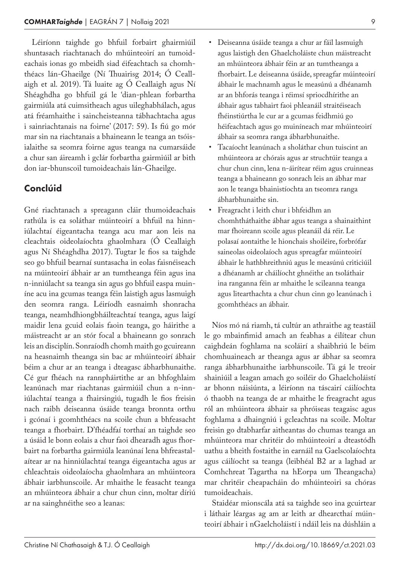Léiríonn taighde go bhfuil forbairt ghairmiúil shuntasach riachtanach do mhúinteoirí an tumoideachais ionas go mbeidh siad éifeachtach sa chomhthéacs lán-Ghaeilge (Ní Thuairisg 2014; Ó Ceall‑ aigh et al. 2019). Tá luaite ag Ó Ceallaigh agus Ní Shéaghdha go bhfuil gá le 'dian-phlean forbartha gairmiúla atá cuimsitheach agus uileghabhálach, agus atá fréamhaithe i saincheisteanna tábhachtacha agus i sainriachtanais na foirne' (2017: 59). Is fiú go mór mar sin na riachtanais a bhaineann le teanga an tsóisialaithe sa seomra foirne agus teanga na cumarsáide a chur san áireamh i gclár forbartha gairmiúil ar bith don iar-bhunscoil tumoideachais lán-Ghaeilge.

#### Conclúid

Gné riachtanach a spreagann cláir thumoideachais rathúla is ea soláthar múinteoirí a bhfuil na hinniúlachtaí éigeantacha teanga acu mar aon leis na cleachtais oideolaíochta ghaolmhara (Ó Ceallaigh agus Ní Shéaghdha 2017). Tugtar le fios sa taighde seo go bhfuil bearnaí suntasacha in eolas faisnéiseach na múinteoirí ábhair ar an tumtheanga féin agus ina n‑inniúlacht sa teanga sin agus go bhfuil easpa muin‑ íne acu ina gcumas teanga féin laistigh agus lasmuigh den seomra ranga. Léiríodh easnaimh shonracha teanga, neamhdhiongbháilteachtaí teanga, agus laigí maidir lena gcuid eolais faoin teanga, go háirithe a máistreacht ar an stór focal a bhaineann go sonrach leis an disciplín. Sonraíodh chomh maith go gcuireann na heasnaimh theanga sin bac ar mhúinteoirí ábhair béim a chur ar an teanga i dteagasc ábharbhunaithe. Cé gur fhéach na rannpháirtithe ar an bhfoghlaim leanúnach mar riachtanas gairmiúil chun a n-inniúlachtaí teanga a fhairsingiú, tugadh le fios freisin nach raibh deiseanna úsáide teanga bronnta orthu i gcónaí i gcomhthéacs na scoile chun a bhfeasacht teanga a fhorbairt. D'fhéadfaí torthaí an taighde seo a úsáid le bonn eolais a chur faoi dhearadh agus fhorbairt na forbartha gairmiúla leanúnaí lena bhfreastalaítear ar na hinniúlachtaí teanga éigeantacha agus ar chleachtais oideolaíocha ghaolmhara an mhúinteora ábhair iarbhunscoile. Ar mhaithe le feasacht teanga an mhúinteora ábhair a chur chun cinn, moltar díriú ar na sainghnéithe seo a leanas:

- Deiseanna úsáide teanga a chur ar fáil lasmuigh agus laistigh den Ghaelcholáiste chun máistreacht an mhúinteora ábhair féin ar an tumtheanga a fhorbairt. Le deiseanna úsáide, spreagfar múinteoirí ábhair le machnamh agus le measúnú a dhéanamh ar an bhforás teanga i réimsí spriocdhírithe an ábhair agus tabhairt faoi phleanáil straitéiseach fhéinstiúrtha le cur ar a gcumas feidhmiú go héifeachtach agus go muiníneach mar mhúinteoirí ábhair sa seomra ranga ábharbhunaithe.
- Tacaíocht leanúnach a sholáthar chun tuiscint an mhúinteora ar chórais agus ar struchtúir teanga a chur chun cinn, lena n‑áirítear réim agus cruinneas teanga a bhaineann go sonrach leis an ábhar mar aon le teanga bhainistíochta an tseomra ranga ábharbhunaithe sin.
- Freagracht i leith chur i bhfeidhm an chomhtháthaithe ábhar agus teanga a shainaithint mar fhoireann scoile agus pleanáil dá réir. Le polasaí aontaithe le hionchais shoiléire, forbrófar saineolas oideolaíoch agus spreagfar múinteoirí ábhair le hathbhreithniú agus le measúnú criticiúil a dhéanamh ar cháilíocht ghnéithe an tsoláthair ina ranganna féin ar mhaithe le scileanna teanga agus litearthachta a chur chun cinn go leanúnach i gcomhthéacs an ábhair.

Níos mó ná riamh, tá cultúr an athraithe ag teastáil le go mbainfimid amach an feabhas a éilítear chun caighdeán foghlama na scoláirí a shaibhriú le béim chomhuaineach ar theanga agus ar ábhar sa seomra ranga ábharbhunaithe iarbhunscoile. Tá gá le treoir shainiúil a leagan amach go soiléir do Ghaelcholáistí ar bhonn náisiúnta, a léiríonn na táscairí cáilíochta ó thaobh na teanga de ar mhaithe le freagracht agus ról an mhúinteora ábhair sa phróiseas teagaisc agus foghlama a dhaingniú i gcleachtas na scoile. Moltar freisin go dtabharfar aitheantas do chumas teanga an mhúinteora mar chritéir do mhúinteoirí a dteastódh uathu a bheith fostaithe in earnáil na Gaelscolaíochta agus cáilíocht sa teanga (leibhéal B2 ar a laghad ar Comhchreat Tagartha na hEorpa um Theangacha) mar chritéir cheapacháin do mhúinteoiri sa chóras tumoideachais.

Staidéar mionscála atá sa taighde seo ina gcuirtear i láthair léargas ag am ar leith ar dhearcthaí múinteoirí ábhair i nGaelcholáistí i ndáil leis na dúshláin a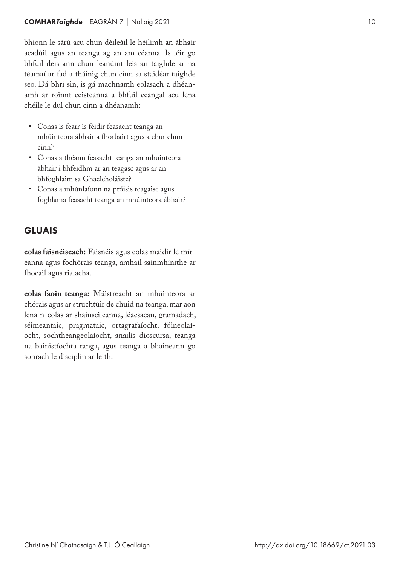bhíonn le sárú acu chun déileáil le héilimh an ábhair acadúil agus an teanga ag an am céanna. Is léir go bhfuil deis ann chun leanúint leis an taighde ar na téamaí ar fad a tháinig chun cinn sa staidéar taighde seo. Dá bhrí sin, is gá machnamh eolasach a dhéan ‑ amh ar roinnt ceisteanna a bhfuil ceangal acu lena chéile le dul chun cinn a dhéanamh:

- Conas is fearr is féidir feasacht teanga an mhúinteora ábhair a fhorbairt agus a chur chun cinn?
- Conas a théann feasacht teanga an mhúinteora ábhair i bhfeidhm ar an teagasc agus ar an bhfoghlaim sa Ghaelcholáiste?
- Conas a mhúnlaíonn na próisis teagaisc agus foghlama feasacht teanga an mhúinteora ábhair?

#### GLUAIS

**eolas faisnéiseach:** Faisnéis agus eolas maidir le mír ‑ eanna agus fochórais teanga, amhail sainmhínithe ar fhocail agus rialacha.

**eolas faoin teanga:** Máistreacht an mhúinteora ar chórais agus ar struchtúir de chuid na teanga, mar aon lena n‑eolas ar shainscileanna, léacsacan, gramadach, séimeantaic, pragmataic, ortagrafaíocht, fóineolaí ‑ ocht, sochtheangeolaíocht, anailís dioscúrsa, teanga na bainistíochta ranga, agus teanga a bhaineann go sonrach le disciplín ar leith.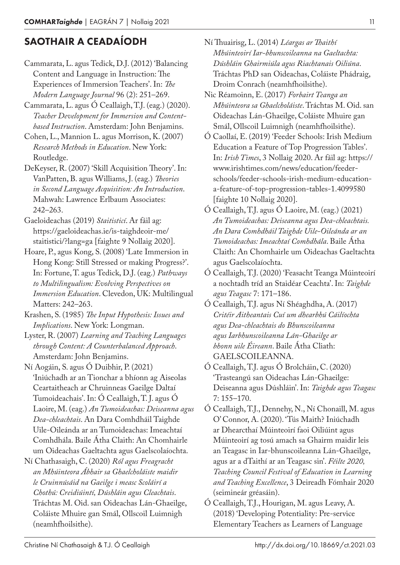### SAOTHAIR A CEADAÍODH

- Cammarata, L. agus Tedick, D.J. (2012) 'Balancing Content and Language in Instruction: The Experiences of Immersion Teachers'. In: *The Modern Language Journal* 96 (2): 251–269.
- Cammarata, L. agus Ó Ceallaigh, T.J. (eag.) (2020). *Teacher Development for Immersion and Contentbased Instruction*. Amsterdam: John Benjamins.
- Cohen, L., Mannion L. agus Morrison, K. (2007) *Research Methods in Education*. New York: Routledge.
- DeKeyser, R. (2007) 'Skill Acquisition Theory'. In: VanPatten, B. agus Williams, J. (eag.) *Theories in Second Language Acquisition: An Introduction*. Mahwah: Lawrence Erlbaum Associates: 242–263.
- Gaeloideachas (2019) *Staitisticí*. Ar fáil ag: https://gaeloideachas.ie/is-taighdeoir-me/ staitistici/?lang=ga [faighte 9 Nollaig 2020].
- Hoare, P., agus Kong, S. (2008) 'Late Immersion in Hong Kong: Still Stressed or making Progress?'. In: Fortune, T. agus Tedick, D.J. (eag.) *Pathways to Multilingualism: Evolving Perspectives on Immersion Education*. Clevedon, UK: Multilingual Matters: 242–263.
- Krashen, S. (1985) *The Input Hypothesis: Issues and Implications*. New York: Longman.
- Lyster, R. (2007) *Learning and Teaching Languages through Content: A Counterbalanced Approach*. Amsterdam: John Benjamins.
- Ní Aogáin, S. agus Ó Duibhir, P. (2021) 'Iniúchadh ar an Tionchar a bhíonn ag Aiseolas Ceartaitheach ar Chruinneas Gaeilge Daltaí Tumoideachais'. In: Ó Ceallaigh, T. J. agus Ó Laoire, M. (eag.) *An Tumoideachas: Deiseanna agus Dea-chleachtais*. An Dara Comhdháil Taighde Uile-Oileánda ar an Tumoideachas: Imeachtaí Comhdhála. Baile Átha Claith: An Chomhairle um Oideachas Gaeltachta agus Gaelscolaíochta.
- Ní Chathasaigh, C. (2020) *Ról agus Freagracht an Mhúinteora Ábhair sa Ghaelcholáiste maidir le Cruinnúsáid na Gaeilge i measc Scoláirí a Chothú: Creidiúintí, Dúshláin agus Cleachtais*. Tráchtas M. Oid. san Oideachas Lán-Ghaeilge, Coláiste Mhuire gan Smál, Ollscoil Luimnigh (neamhfhoilsithe).
- Ní Thuairisg, L. (2014) *Léargas ar Thaithí Mhúinteoirí Iar-bhunscoileanna na Gaeltachta: Dúshláin Ghairmiúla agus Riachtanais Oiliúna*. Tráchtas PhD san Oideachas, Coláiste Phádraig, Droim Conrach (neamhfhoilsithe).
- Nic Réamoinn, E. (2017) *Forbairt Teanga an Mhúinteora sa Ghaelcholáiste*. Tráchtas M. Oid. san Oideachas Lán-Ghaeilge, Coláiste Mhuire gan Smál, Ollscoil Luimnigh (neamhfhoilsithe).
- Ó Caollaí, E. (2019) 'Feeder Schools: Irish Medium Education a Feature of Top Progression Tables'. In: *Irish Times*, 3 Nollaig 2020. Ar fáil ag: https:// www.irishtimes.com/news/education/feederschools/feeder-schools-irish-medium-educationa-feature-of-top-progression-tables-1.4099580 [faighte 10 Nollaig 2020].
- Ó Ceallaigh, T.J. agus Ó Laoire, M. (eag.) (2021) *An Tumoideachas: Deiseanna agus Dea-chleachtais. An Dara Comhdháil Taighde Uile-Oileánda ar an Tumoideachas: Imeachtaí Comhdhála*. Baile Átha Claith: An Chomhairle um Oideachas Gaeltachta agus Gaelscolaíochta.
- Ó Ceallaigh, T.J. (2020) 'Feasacht Teanga Múinteoirí a nochtadh tríd an Staidéar Ceachta'. In: *Taighde agus Teagasc* 7: 171–186.
- Ó Ceallaigh, T.J. agus Ní Shéaghdha, A. (2017) *Critéir Aitheantais Cuí um dhearbhú Cáilíochta agus Dea-chleachtais do Bhunscoileanna agus Iarbhunscoileanna Lán-Ghaeilge ar bhonn uile Éireann*. Baile Átha Cliath: GAELSCOILEANNA.
- Ó Ceallaigh, T.J. agus Ó Brolcháin, C. (2020) 'Trasteangú san Oideachas Lán-Ghaeilge: Deiseanna agus Dúshláin'. In: *Taighde agus Teagasc* 7: 155–170.
- Ó Ceallaigh, T.J., Dennehy, N., Ní Chonaill, M. agus O' Connor, A. (2020). 'Tús Maith? Iniúchadh ar Dhearcthaí Múinteoirí faoi Oiliúint agus Múinteoirí ag tosú amach sa Ghairm maidir leis an Teagasc in Iar-bhunscoileanna Lán-Ghaeilge, agus ar a dTaithí ar an Teagasc sin'. *Féilte 2020, Teaching Council Festival of Education in Learning and Teaching Excellence*, 3 Deireadh Fómhair 2020 (seimineár gréasáin).
- Ó Ceallaigh, T.J., Hourigan, M. agus Leavy, A. (2018) 'Developing Potentiality: Pre-service Elementary Teachers as Learners of Language